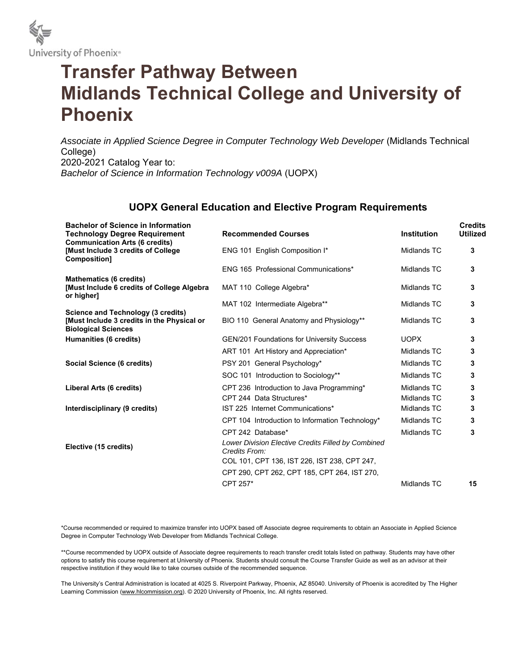

# **Transfer Pathway Between Midlands Technical College and University of Phoenix**

Associate in Applied Science Degree in Computer Technology Web Developer (Midlands Technical College) 2020-2021 Catalog Year to: *Bachelor of Science in Information Technology v009A* (UOPX)

## **UOPX General Education and Elective Program Requirements**

| <b>Bachelor of Science in Information</b><br><b>Technology Degree Requirement</b><br><b>Communication Arts (6 credits)</b> | <b>Recommended Courses</b>                                          | <b>Institution</b> | <b>Credits</b><br><b>Utilized</b> |
|----------------------------------------------------------------------------------------------------------------------------|---------------------------------------------------------------------|--------------------|-----------------------------------|
| <b>Must Include 3 credits of College</b><br>Composition]                                                                   | ENG 101 English Composition I*                                      | Midlands TC        | 3                                 |
|                                                                                                                            | ENG 165 Professional Communications*                                | Midlands TC        | 3                                 |
| <b>Mathematics (6 credits)</b><br><b>Must Include 6 credits of College Algebra</b><br>or higher]                           | MAT 110 College Algebra*                                            | Midlands TC        | 3                                 |
|                                                                                                                            | MAT 102 Intermediate Algebra**                                      | Midlands TC        | 3                                 |
| Science and Technology (3 credits)<br>[Must Include 3 credits in the Physical or<br><b>Biological Sciences</b>             | BIO 110 General Anatomy and Physiology**                            | Midlands TC        | 3                                 |
| Humanities (6 credits)                                                                                                     | <b>GEN/201 Foundations for University Success</b>                   | <b>UOPX</b>        | 3                                 |
|                                                                                                                            | ART 101 Art History and Appreciation*                               | Midlands TC        | 3                                 |
| Social Science (6 credits)                                                                                                 | PSY 201 General Psychology*                                         | Midlands TC        | 3                                 |
|                                                                                                                            | SOC 101 Introduction to Sociology**                                 | Midlands TC        | 3                                 |
| Liberal Arts (6 credits)                                                                                                   | CPT 236 Introduction to Java Programming*                           | Midlands TC        | 3                                 |
|                                                                                                                            | CPT 244 Data Structures*                                            | Midlands TC        | 3                                 |
| Interdisciplinary (9 credits)                                                                                              | IST 225 Internet Communications*                                    | Midlands TC        | 3                                 |
|                                                                                                                            | CPT 104 Introduction to Information Technology*                     | Midlands TC        | 3                                 |
|                                                                                                                            | CPT 242 Database*                                                   | Midlands TC        | 3                                 |
| Elective (15 credits)                                                                                                      | Lower Division Elective Credits Filled by Combined<br>Credits From: |                    |                                   |
|                                                                                                                            | COL 101, CPT 136, IST 226, IST 238, CPT 247,                        |                    |                                   |
|                                                                                                                            | CPT 290, CPT 262, CPT 185, CPT 264, IST 270,                        |                    |                                   |
|                                                                                                                            | CPT 257*                                                            | Midlands TC        | 15                                |

\*Course recommended or required to maximize transfer into UOPX based off Associate degree requirements to obtain an Associate in Applied Science Degree in Computer Technology Web Developer from Midlands Technical College.

\*\*Course recommended by UOPX outside of Associate degree requirements to reach transfer credit totals listed on pathway. Students may have other options to satisfy this course requirement at University of Phoenix. Students should consult the Course Transfer Guide as well as an advisor at their respective institution if they would like to take courses outside of the recommended sequence.

The University's Central Administration is located at 4025 S. Riverpoint Parkway, Phoenix, AZ 85040. University of Phoenix is accredited by The Higher Learning Commission (www.hlcommission.org). © 2020 University of Phoenix, Inc. All rights reserved.